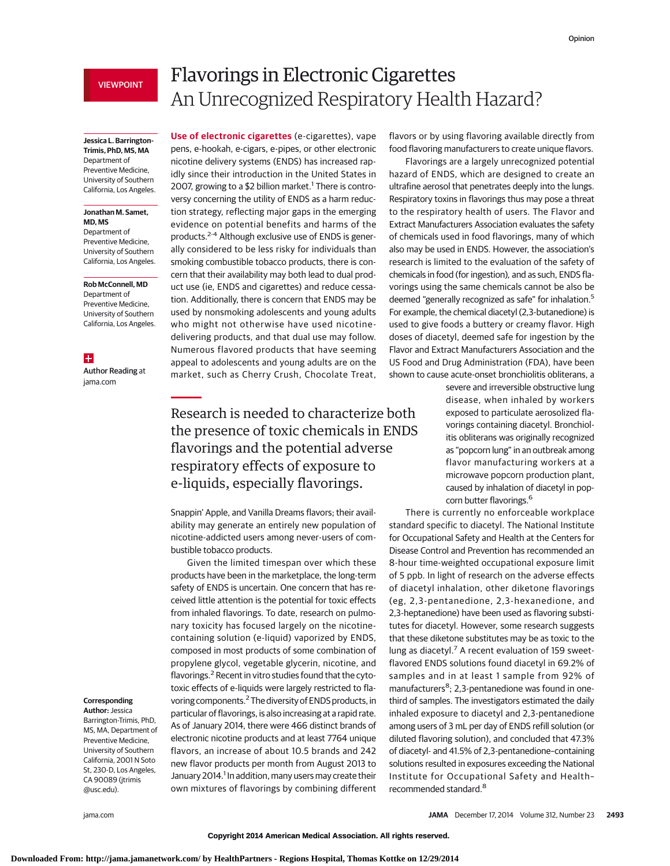# VIEWPOINT

## **Jessica L. Barrington-Trimis, PhD, MS, MA** Department of Preventive Medicine, University of Southern California, Los Angeles.

### **Jonathan M. Samet, MD, MS**

Department of Preventive Medicine, University of Southern California, Los Angeles.

#### **Rob McConnell, MD**

Department of Preventive Medicine, University of Southern California, Los Angeles.

 $+$ 

Author Reading at jama.com

# **Corresponding**

**Author:** Jessica Barrington-Trimis, PhD, MS, MA, Department of Preventive Medicine, University of Southern California, 2001 N Soto St, 230-D, Los Angeles, CA 90089 (jtrimis @usc.edu).

# Flavorings in Electronic Cigarettes An Unrecognized Respiratory Health Hazard?

**Use of electronic cigarettes** (e-cigarettes), vape pens, e-hookah, e-cigars, e-pipes, or other electronic nicotine delivery systems (ENDS) has increased rapidly since their introduction in the United States in 2007, growing to a \$2 billion market.<sup>1</sup> There is controversy concerning the utility of ENDS as a harm reduction strategy, reflecting major gaps in the emerging evidence on potential benefits and harms of the products.2-4 Although exclusive use of ENDS is generally considered to be less risky for individuals than smoking combustible tobacco products, there is concern that their availability may both lead to dual product use (ie, ENDS and cigarettes) and reduce cessation. Additionally, there is concern that ENDS may be used by nonsmoking adolescents and young adults who might not otherwise have used nicotinedelivering products, and that dual use may follow. Numerous flavored products that have seeming appeal to adolescents and young adults are on the market, such as Cherry Crush, Chocolate Treat,

# Research is needed to characterize both the presence of toxic chemicals in ENDS flavorings and the potential adverse respiratory effects of exposure to e-liquids, especially flavorings.

Snappin' Apple, and Vanilla Dreams flavors; their availability may generate an entirely new population of nicotine-addicted users among never-users of combustible tobacco products.

Given the limited timespan over which these products have been in the marketplace, the long-term safety of ENDS is uncertain. One concern that has received little attention is the potential for toxic effects from inhaled flavorings. To date, research on pulmonary toxicity has focused largely on the nicotinecontaining solution (e-liquid) vaporized by ENDS, composed in most products of some combination of propylene glycol, vegetable glycerin, nicotine, and flavorings.<sup>2</sup> Recent in vitro studies found that the cytotoxic effects of e-liquids were largely restricted to flavoring components.2The diversity of ENDS products, in particular of flavorings, is also increasing at a rapid rate. As of January 2014, there were 466 distinct brands of electronic nicotine products and at least 7764 unique flavors, an increase of about 10.5 brands and 242 new flavor products per month from August 2013 to January 2014.<sup>1</sup> In addition, many users may create their own mixtures of flavorings by combining different flavors or by using flavoring available directly from food flavoring manufacturers to create unique flavors.

Flavorings are a largely unrecognized potential hazard of ENDS, which are designed to create an ultrafine aerosol that penetrates deeply into the lungs. Respiratory toxins in flavorings thus may pose a threat to the respiratory health of users. The Flavor and Extract Manufacturers Association evaluates the safety of chemicals used in food flavorings, many of which also may be used in ENDS. However, the association's research is limited to the evaluation of the safety of chemicals in food (for ingestion), and as such, ENDS flavorings using the same chemicals cannot be also be deemed "generally recognized as safe" for inhalation.5 For example, the chemical diacetyl (2,3-butanedione) is used to give foods a buttery or creamy flavor. High doses of diacetyl, deemed safe for ingestion by the Flavor and Extract Manufacturers Association and the US Food and Drug Administration (FDA), have been shown to cause acute-onset bronchiolitis obliterans, a

> severe and irreversible obstructive lung disease, when inhaled by workers exposed to particulate aerosolized flavorings containing diacetyl. Bronchiolitis obliterans was originally recognized as "popcorn lung" in an outbreak among flavor manufacturing workers at a microwave popcorn production plant, caused by inhalation of diacetyl in popcorn butter flavorings.<sup>6</sup>

There is currently no enforceable workplace standard specific to diacetyl. The National Institute for Occupational Safety and Health at the Centers for Disease Control and Prevention has recommended an 8-hour time-weighted occupational exposure limit of 5 ppb. In light of research on the adverse effects of diacetyl inhalation, other diketone flavorings (eg, 2,3-pentanedione, 2,3-hexanedione, and 2,3-heptanedione) have been used as flavoring substitutes for diacetyl. However, some research suggests that these diketone substitutes may be as toxic to the lung as diacetyl.<sup>7</sup> A recent evaluation of 159 sweetflavored ENDS solutions found diacetyl in 69.2% of samples and in at least 1 sample from 92% of manufacturers<sup>8</sup>; 2,3-pentanedione was found in onethird of samples. The investigators estimated the daily inhaled exposure to diacetyl and 2,3-pentanedione among users of 3 mL per day of ENDS refill solution (or diluted flavoring solution), and concluded that 47.3% of diacetyl- and 41.5% of 2,3-pentanedione–containing solutions resulted in exposures exceeding the National Institute for Occupational Safety and Health– recommended standard.8